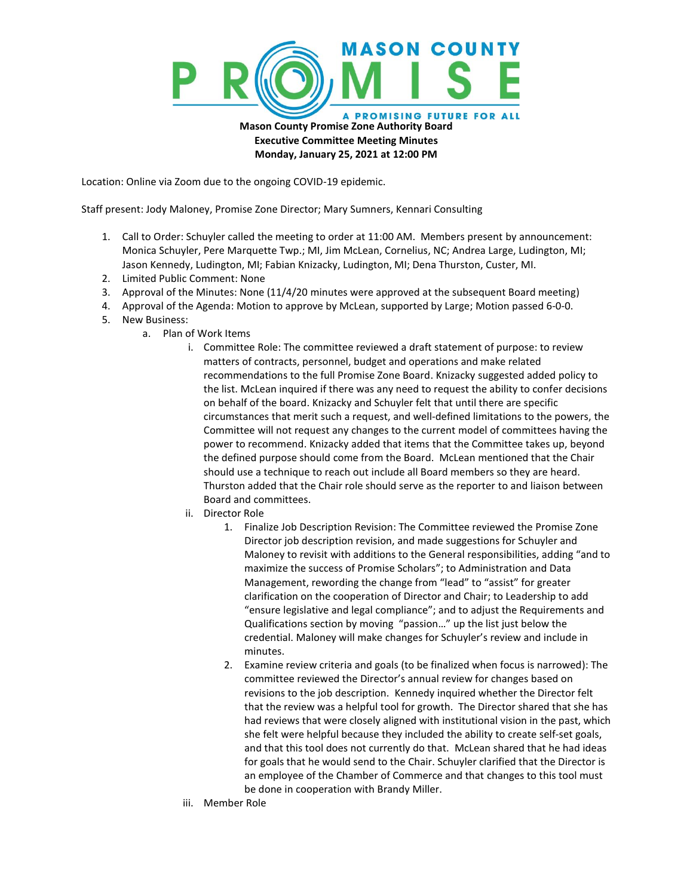

**Monday, January 25, 2021 at 12:00 PM**

Location: Online via Zoom due to the ongoing COVID-19 epidemic.

Staff present: Jody Maloney, Promise Zone Director; Mary Sumners, Kennari Consulting

- 1. Call to Order: Schuyler called the meeting to order at 11:00 AM. Members present by announcement: Monica Schuyler, Pere Marquette Twp.; MI, Jim McLean, Cornelius, NC; Andrea Large, Ludington, MI; Jason Kennedy, Ludington, MI; Fabian Knizacky, Ludington, MI; Dena Thurston, Custer, MI.
- 2. Limited Public Comment: None
- 3. Approval of the Minutes: None (11/4/20 minutes were approved at the subsequent Board meeting)
- 4. Approval of the Agenda: Motion to approve by McLean, supported by Large; Motion passed 6-0-0.
- 5. New Business:
	- a. Plan of Work Items
		- i. Committee Role: The committee reviewed a draft statement of purpose: to review matters of contracts, personnel, budget and operations and make related recommendations to the full Promise Zone Board. Knizacky suggested added policy to the list. McLean inquired if there was any need to request the ability to confer decisions on behalf of the board. Knizacky and Schuyler felt that until there are specific circumstances that merit such a request, and well-defined limitations to the powers, the Committee will not request any changes to the current model of committees having the power to recommend. Knizacky added that items that the Committee takes up, beyond the defined purpose should come from the Board. McLean mentioned that the Chair should use a technique to reach out include all Board members so they are heard. Thurston added that the Chair role should serve as the reporter to and liaison between Board and committees.
		- ii. Director Role
			- 1. Finalize Job Description Revision: The Committee reviewed the Promise Zone Director job description revision, and made suggestions for Schuyler and Maloney to revisit with additions to the General responsibilities, adding "and to maximize the success of Promise Scholars"; to Administration and Data Management, rewording the change from "lead" to "assist" for greater clarification on the cooperation of Director and Chair; to Leadership to add "ensure legislative and legal compliance"; and to adjust the Requirements and Qualifications section by moving "passion…" up the list just below the credential. Maloney will make changes for Schuyler's review and include in minutes.
			- 2. Examine review criteria and goals (to be finalized when focus is narrowed): The committee reviewed the Director's annual review for changes based on revisions to the job description. Kennedy inquired whether the Director felt that the review was a helpful tool for growth. The Director shared that she has had reviews that were closely aligned with institutional vision in the past, which she felt were helpful because they included the ability to create self-set goals, and that this tool does not currently do that. McLean shared that he had ideas for goals that he would send to the Chair. Schuyler clarified that the Director is an employee of the Chamber of Commerce and that changes to this tool must be done in cooperation with Brandy Miller.
		- iii. Member Role